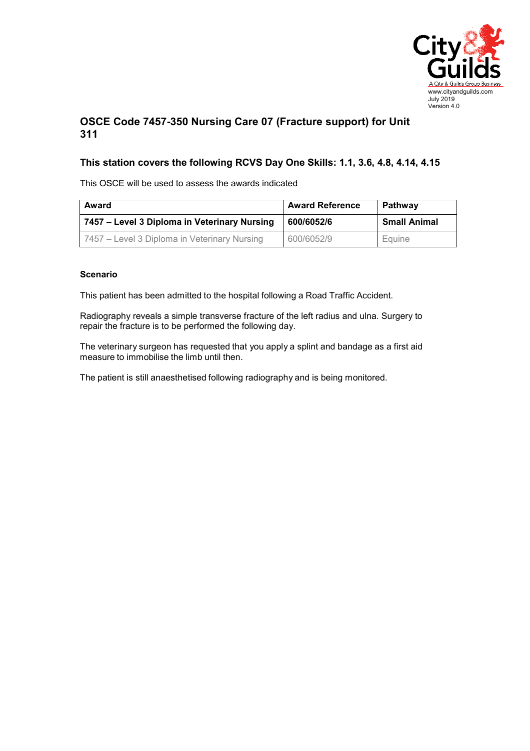

## **OSCE Code 7457-350 Nursing Care 07 (Fracture support) for Unit 311**

## **This station covers the following RCVS Day One Skills: 1.1, 3.6, 4.8, 4.14, 4.15**

This OSCE will be used to assess the awards indicated

| Award                                        | <b>Award Reference</b> | <b>Pathway</b> |
|----------------------------------------------|------------------------|----------------|
| 7457 – Level 3 Diploma in Veterinary Nursing | 600/6052/6             | Small Animal   |
| 7457 – Level 3 Diploma in Veterinary Nursing | 600/6052/9             | Equine         |

## **Scenario**

This patient has been admitted to the hospital following a Road Traffic Accident.

Radiography reveals a simple transverse fracture of the left radius and ulna. Surgery to repair the fracture is to be performed the following day.

The veterinary surgeon has requested that you apply a splint and bandage as a first aid measure to immobilise the limb until then.

The patient is still anaesthetised following radiography and is being monitored.